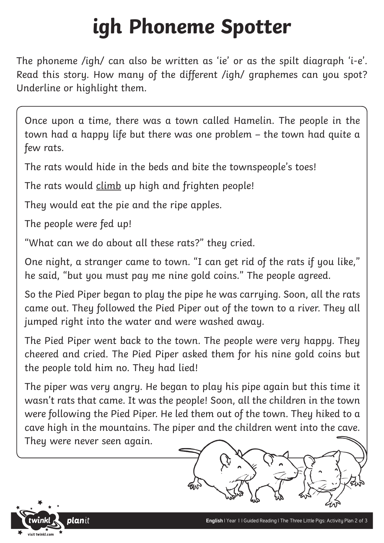## **igh Phoneme Spotter**

The phoneme /igh/ can also be written as 'ie' or as the spilt diagraph 'i-e'. Read this story. How many of the different /igh/ graphemes can you spot? Underline or highlight them.

Once upon a time, there was a town called Hamelin. The people in the town had a happy life but there was one problem – the town had quite a few rats.

The rats would hide in the beds and bite the townspeople's toes!

The rats would climb up high and frighten people!

They would eat the pie and the ripe apples.

The people were fed up!

"What can we do about all these rats?" they cried.

One night, a stranger came to town. "I can get rid of the rats if you like," he said, "but you must pay me nine gold coins." The people agreed.

So the Pied Piper began to play the pipe he was carrying. Soon, all the rats came out. They followed the Pied Piper out of the town to a river. They all jumped right into the water and were washed away.

The Pied Piper went back to the town. The people were very happy. They cheered and cried. The Pied Piper asked them for his nine gold coins but the people told him no. They had lied!

The piper was very angry. He began to play his pipe again but this time it wasn't rats that came. It was the people! Soon, all the children in the town were following the Pied Piper. He led them out of the town. They hiked to a cave high in the mountains. The piper and the children went into the cave. They were never seen again.

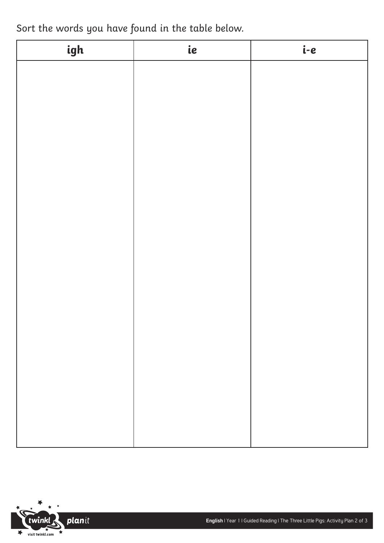Sort the words you have found in the table below.

| igh | ie | i-e |
|-----|----|-----|
|     |    |     |
|     |    |     |
|     |    |     |
|     |    |     |
|     |    |     |
|     |    |     |
|     |    |     |
|     |    |     |
|     |    |     |
|     |    |     |
|     |    |     |
|     |    |     |
|     |    |     |
|     |    |     |
|     |    |     |
|     |    |     |
|     |    |     |
|     |    |     |
|     |    |     |

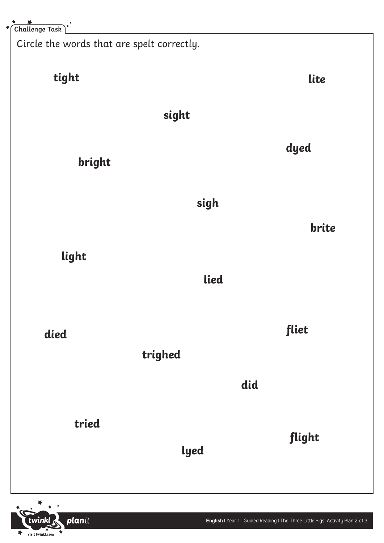Circle the words that are spelt correctly.

planit

visit twinkl.com

 $\blacktriangleright$ 

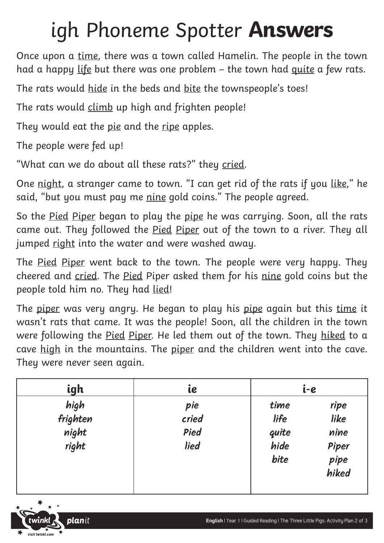## igh Phoneme Spotter **Answers**

Once upon a time, there was a town called Hamelin. The people in the town had a happy life but there was one problem – the town had quite a few rats.

The rats would hide in the beds and bite the townspeople's toes!

The rats would climb up high and frighten people!

They would eat the pie and the ripe apples.

The people were fed up!

"What can we do about all these rats?" they cried.

One night, a stranger came to town. "I can get rid of the rats if you like," he said, "but you must pay me nine gold coins." The people agreed.

So the Pied Piper began to play the pipe he was carrying. Soon, all the rats came out. They followed the Pied Piper out of the town to a river. They all jumped right into the water and were washed away.

The <u>Pied Piper</u> went back to the town. The people were very happy. They cheered and cried. The Pied Piper asked them for his nine gold coins but the people told him no. They had lied!

The piper was very angry. He began to play his pipe again but this time it wasn't rats that came. It was the people! Soon, all the children in the town were following the <u>Pied Piper</u>. He led them out of the town. They hiked to a cave high in the mountains. The piper and the children went into the cave. They were never seen again.

| igh                                | ie                           |                                       | i-e                                            |  |
|------------------------------------|------------------------------|---------------------------------------|------------------------------------------------|--|
| high<br>frighten<br>night<br>right | pie<br>cried<br>Pied<br>lied | time<br>life<br>quite<br>hide<br>bite | ripe<br>like<br>nine<br>Piper<br>pipe<br>hiked |  |